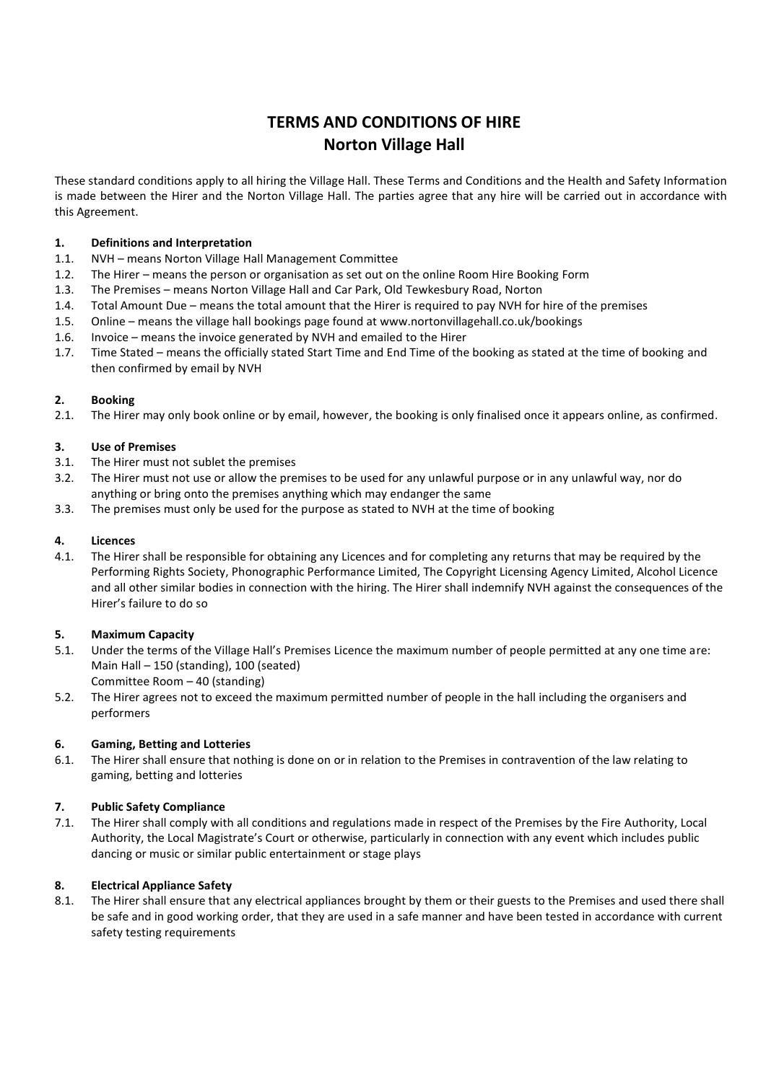# **TERMS AND CONDITIONS OF HIRE Norton Village Hall**

These standard conditions apply to all hiring the Village Hall. These Terms and Conditions and the Health and Safety Information is made between the Hirer and the Norton Village Hall. The parties agree that any hire will be carried out in accordance with this Agreement.

### **1. Definitions and Interpretation**

- 1.1. NVH means Norton Village Hall Management Committee
- 1.2. The Hirer means the person or organisation as set out on the online Room Hire Booking Form
- 1.3. The Premises means Norton Village Hall and Car Park, Old Tewkesbury Road, Norton
- 1.4. Total Amount Due means the total amount that the Hirer is required to pay NVH for hire of the premises
- 1.5. Online means the village hall bookings page found at www.nortonvillagehall.co.uk/bookings
- 1.6. Invoice means the invoice generated by NVH and emailed to the Hirer
- 1.7. Time Stated means the officially stated Start Time and End Time of the booking as stated at the time of booking and then confirmed by email by NVH

### **2. Booking**

2.1. The Hirer may only book online or by email, however, the booking is only finalised once it appears online, as confirmed.

### **3. Use of Premises**

- 3.1. The Hirer must not sublet the premises
- 3.2. The Hirer must not use or allow the premises to be used for any unlawful purpose or in any unlawful way, nor do anything or bring onto the premises anything which may endanger the same
- 3.3. The premises must only be used for the purpose as stated to NVH at the time of booking

### **4. Licences**

4.1. The Hirer shall be responsible for obtaining any Licences and for completing any returns that may be required by the Performing Rights Society, Phonographic Performance Limited, The Copyright Licensing Agency Limited, Alcohol Licence and all other similar bodies in connection with the hiring. The Hirer shall indemnify NVH against the consequences of the Hirer's failure to do so

### **5. Maximum Capacity**

- 5.1. Under the terms of the Village Hall's Premises Licence the maximum number of people permitted at any one time are: Main Hall – 150 (standing), 100 (seated) Committee Room – 40 (standing)
- 5.2. The Hirer agrees not to exceed the maximum permitted number of people in the hall including the organisers and performers

### **6. Gaming, Betting and Lotteries**

6.1. The Hirer shall ensure that nothing is done on or in relation to the Premises in contravention of the law relating to gaming, betting and lotteries

### **7. Public Safety Compliance**

7.1. The Hirer shall comply with all conditions and regulations made in respect of the Premises by the Fire Authority, Local Authority, the Local Magistrate's Court or otherwise, particularly in connection with any event which includes public dancing or music or similar public entertainment or stage plays

### **8. Electrical Appliance Safety**

8.1. The Hirer shall ensure that any electrical appliances brought by them or their guests to the Premises and used there shall be safe and in good working order, that they are used in a safe manner and have been tested in accordance with current safety testing requirements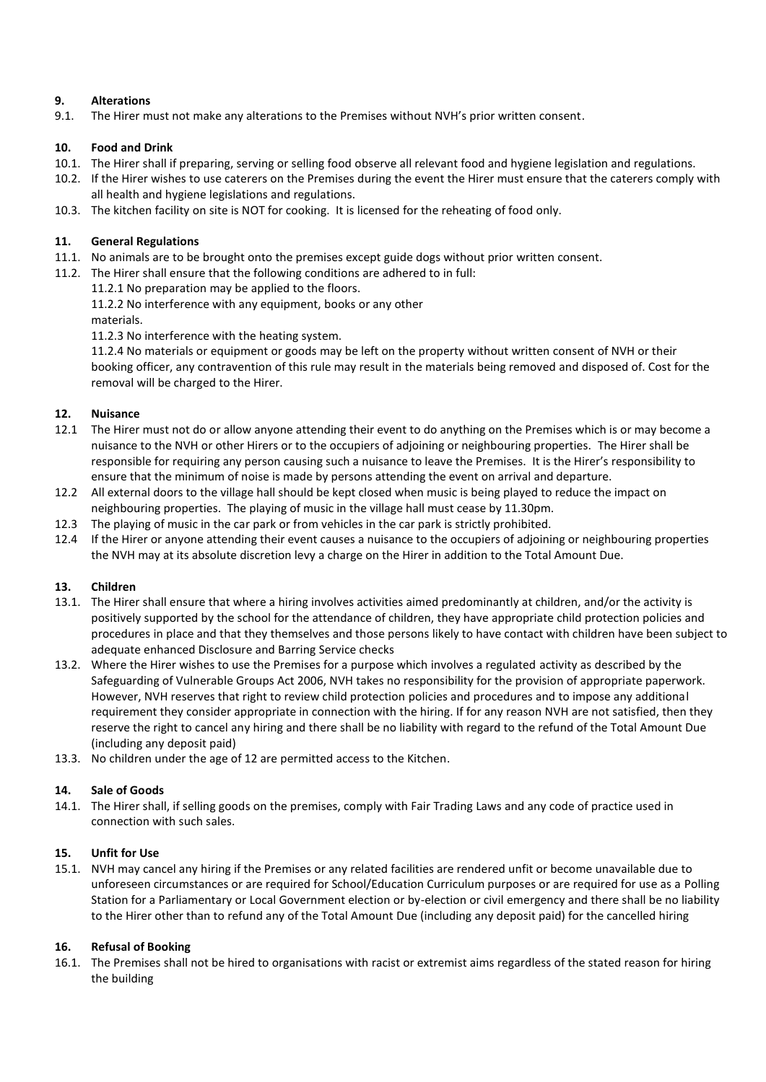## **9. Alterations**

9.1. The Hirer must not make any alterations to the Premises without NVH's prior written consent.

## **10. Food and Drink**

- 10.1. The Hirer shall if preparing, serving or selling food observe all relevant food and hygiene legislation and regulations.
- 10.2. If the Hirer wishes to use caterers on the Premises during the event the Hirer must ensure that the caterers comply with all health and hygiene legislations and regulations.
- 10.3. The kitchen facility on site is NOT for cooking. It is licensed for the reheating of food only.

### **11. General Regulations**

- 11.1. No animals are to be brought onto the premises except guide dogs without prior written consent.
- 11.2. The Hirer shall ensure that the following conditions are adhered to in full:
	- 11.2.1 No preparation may be applied to the floors.
	- 11.2.2 No interference with any equipment, books or any other
	- materials.

11.2.3 No interference with the heating system.

11.2.4 No materials or equipment or goods may be left on the property without written consent of NVH or their booking officer, any contravention of this rule may result in the materials being removed and disposed of. Cost for the removal will be charged to the Hirer.

## **12. Nuisance**

- 12.1 The Hirer must not do or allow anyone attending their event to do anything on the Premises which is or may become a nuisance to the NVH or other Hirers or to the occupiers of adjoining or neighbouring properties. The Hirer shall be responsible for requiring any person causing such a nuisance to leave the Premises. It is the Hirer's responsibility to ensure that the minimum of noise is made by persons attending the event on arrival and departure.
- 12.2 All external doors to the village hall should be kept closed when music is being played to reduce the impact on neighbouring properties. The playing of music in the village hall must cease by 11.30pm.
- 12.3 The playing of music in the car park or from vehicles in the car park is strictly prohibited.
- 12.4 If the Hirer or anyone attending their event causes a nuisance to the occupiers of adjoining or neighbouring properties the NVH may at its absolute discretion levy a charge on the Hirer in addition to the Total Amount Due.

### **13. Children**

- 13.1. The Hirer shall ensure that where a hiring involves activities aimed predominantly at children, and/or the activity is positively supported by the school for the attendance of children, they have appropriate child protection policies and procedures in place and that they themselves and those persons likely to have contact with children have been subject to adequate enhanced Disclosure and Barring Service checks
- 13.2. Where the Hirer wishes to use the Premises for a purpose which involves a regulated activity as described by the Safeguarding of Vulnerable Groups Act 2006, NVH takes no responsibility for the provision of appropriate paperwork. However, NVH reserves that right to review child protection policies and procedures and to impose any additional requirement they consider appropriate in connection with the hiring. If for any reason NVH are not satisfied, then they reserve the right to cancel any hiring and there shall be no liability with regard to the refund of the Total Amount Due (including any deposit paid)
- 13.3. No children under the age of 12 are permitted access to the Kitchen.

### **14. Sale of Goods**

14.1. The Hirer shall, if selling goods on the premises, comply with Fair Trading Laws and any code of practice used in connection with such sales.

### **15. Unfit for Use**

15.1. NVH may cancel any hiring if the Premises or any related facilities are rendered unfit or become unavailable due to unforeseen circumstances or are required for School/Education Curriculum purposes or are required for use as a Polling Station for a Parliamentary or Local Government election or by-election or civil emergency and there shall be no liability to the Hirer other than to refund any of the Total Amount Due (including any deposit paid) for the cancelled hiring

### **16. Refusal of Booking**

16.1. The Premises shall not be hired to organisations with racist or extremist aims regardless of the stated reason for hiring the building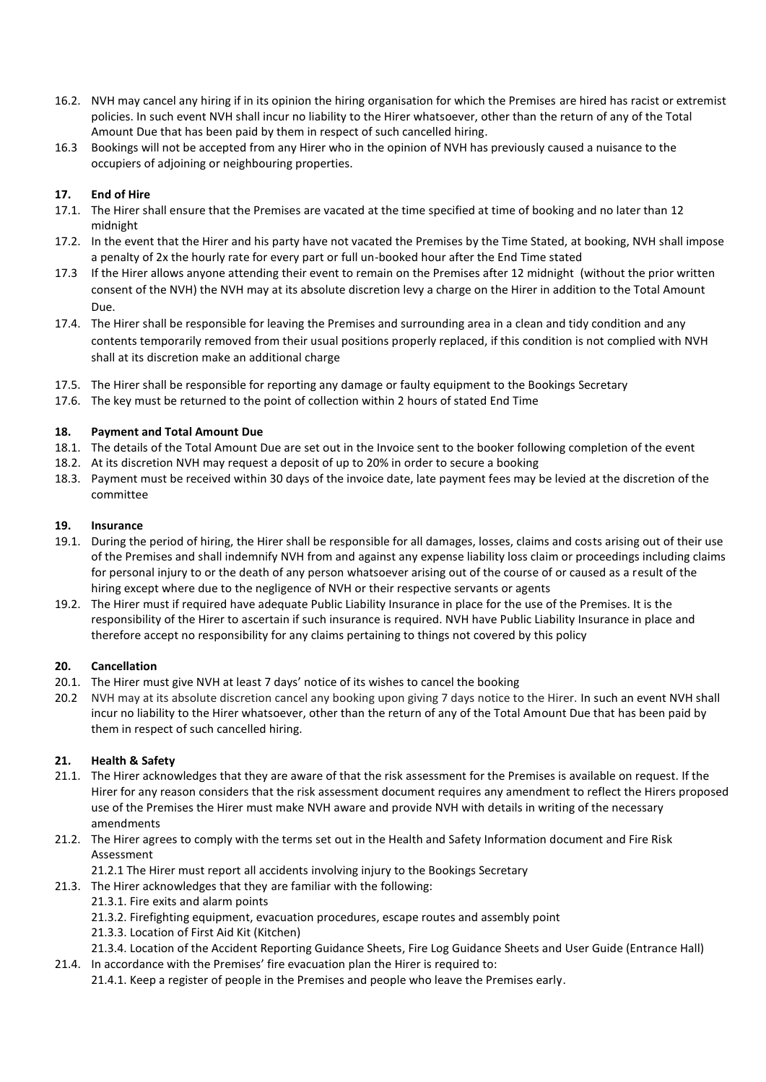- 16.2. NVH may cancel any hiring if in its opinion the hiring organisation for which the Premises are hired has racist or extremist policies. In such event NVH shall incur no liability to the Hirer whatsoever, other than the return of any of the Total Amount Due that has been paid by them in respect of such cancelled hiring.
- 16.3 Bookings will not be accepted from any Hirer who in the opinion of NVH has previously caused a nuisance to the occupiers of adjoining or neighbouring properties.

## **17. End of Hire**

- 17.1. The Hirer shall ensure that the Premises are vacated at the time specified at time of booking and no later than 12 midnight
- 17.2. In the event that the Hirer and his party have not vacated the Premises by the Time Stated, at booking, NVH shall impose a penalty of 2x the hourly rate for every part or full un-booked hour after the End Time stated
- 17.3 If the Hirer allows anyone attending their event to remain on the Premises after 12 midnight (without the prior written consent of the NVH) the NVH may at its absolute discretion levy a charge on the Hirer in addition to the Total Amount Due.
- 17.4. The Hirer shall be responsible for leaving the Premises and surrounding area in a clean and tidy condition and any contents temporarily removed from their usual positions properly replaced, if this condition is not complied with NVH shall at its discretion make an additional charge
- 17.5. The Hirer shall be responsible for reporting any damage or faulty equipment to the Bookings Secretary
- 17.6. The key must be returned to the point of collection within 2 hours of stated End Time

### **18. Payment and Total Amount Due**

- 18.1. The details of the Total Amount Due are set out in the Invoice sent to the booker following completion of the event
- 18.2. At its discretion NVH may request a deposit of up to 20% in order to secure a booking
- 18.3. Payment must be received within 30 days of the invoice date, late payment fees may be levied at the discretion of the committee

#### **19. Insurance**

- 19.1. During the period of hiring, the Hirer shall be responsible for all damages, losses, claims and costs arising out of their use of the Premises and shall indemnify NVH from and against any expense liability loss claim or proceedings including claims for personal injury to or the death of any person whatsoever arising out of the course of or caused as a result of the hiring except where due to the negligence of NVH or their respective servants or agents
- 19.2. The Hirer must if required have adequate Public Liability Insurance in place for the use of the Premises. It is the responsibility of the Hirer to ascertain if such insurance is required. NVH have Public Liability Insurance in place and therefore accept no responsibility for any claims pertaining to things not covered by this policy

### **20. Cancellation**

- 20.1. The Hirer must give NVH at least 7 days' notice of its wishes to cancel the booking
- 20.2 NVH may at its absolute discretion cancel any booking upon giving 7 days notice to the Hirer. In such an event NVH shall incur no liability to the Hirer whatsoever, other than the return of any of the Total Amount Due that has been paid by them in respect of such cancelled hiring.

### **21. Health & Safety**

- 21.1. The Hirer acknowledges that they are aware of that the risk assessment for the Premises is available on request. If the Hirer for any reason considers that the risk assessment document requires any amendment to reflect the Hirers proposed use of the Premises the Hirer must make NVH aware and provide NVH with details in writing of the necessary amendments
- 21.2. The Hirer agrees to comply with the terms set out in the Health and Safety Information document and Fire Risk Assessment
	- 21.2.1 The Hirer must report all accidents involving injury to the Bookings Secretary
- 21.3. The Hirer acknowledges that they are familiar with the following:
	- 21.3.1. Fire exits and alarm points
	- 21.3.2. Firefighting equipment, evacuation procedures, escape routes and assembly point
	- 21.3.3. Location of First Aid Kit (Kitchen)
- 21.3.4. Location of the Accident Reporting Guidance Sheets, Fire Log Guidance Sheets and User Guide (Entrance Hall) 21.4. In accordance with the Premises' fire evacuation plan the Hirer is required to:
	- 21.4.1. Keep a register of people in the Premises and people who leave the Premises early.